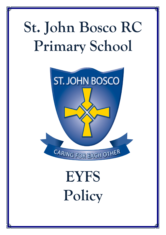## **St. John Bosco RC Primary School**



# **EYFS Policy**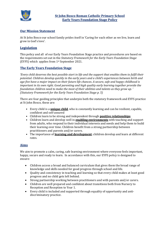

## **Our Mission Statement**

At St John Bosco our school family prides itself in 'Caring for each other as we live, learn and grow in God's love'.

## **Legislation**

This policy and all of our Early Years Foundation Stage practice and procedures are based on the requirements set out in the *Statutory Framework for the Early Years Foundation Stage* (EYFS) which applies from 1st September 2021.

## **The Early Years Foundation Stage**

*'Every child deserves the best possible start in life and the support that enables them to fulfil their potential. Children develop quickly in the early years and a child's experiences between birth and age five have a major impact on their future life chances. A secure, safe and happy childhood is important in its own right. Good parenting and high quality early learning together provide the foundation children need to make the most of their abilities and talents as they grow up. ' (Statutory Framework for the Early Years Foundation Stage p. 5)*

There are four guiding principles that underpin both the statutory framework and EYFS practice at St John Bosco, these are:

- Every child is a **unique child**, who is constantly learning and can be resilient, capable, confident and self-assured
- Children learn to be strong and independent through **positive relationships**
- Children learn and develop well in **enabling environments** with teaching and support from adults, who respond to their individual interests and needs and help them to build their learning over time. Children benefit from a strong partnership between practitioners and parents and/or carers.
- The importance of **learning and development**; children develop and learn at different rates.

## **Aims**

We aim to promote a calm, caring, safe learning environment where everyone feels important, happy, secure and ready to learn. In accordance with this, our EYFS policy is designed to ensure:

- Children access a broad and balanced curriculum that gives them the broad range of knowledge and skills needed for good progress through school and life.
- Quality and consistency in teaching and learning so that every child makes at least good progress and no child gets left behind.
- Strong partnership working between practitioners and with parents and/or carers.
- Children are well prepared and confident about transitions both from Nursery to Reception and Reception to Year 1.
- Every child is included and supported through equality of opportunity and antidiscriminatory practice.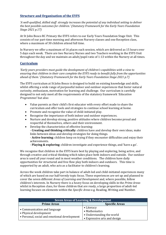## **Structure and Organisation of the EYFS**

*'A well-qualified, skilled staff strongly increases the potential of any individual setting to deliver the best possible outcomes for children.' (Statutory Framework for the Early Years Foundation Stage 2021 p.17)*

At St John Bosco RC Primary the EYFS refers to our Early Years Foundation Stage Unit. This consists of our part-time morning and afternoon Nursery classes and one Reception class, where a maximum of 30 children attend full time.

In Nursery we offer a maximum of 16 places each session, which are delivered as 15 hours over 5 days each week. There are two Nursery Nurses and two Teachers working in the EYFS Unit throughout the day and we maintain an adult/pupil ratio of 1:13 within the Nursery at all times.

### **Curriculum**

*'Early years providers must guide the development of children's capabilities with a view to ensuring that children in their care complete the EYFS ready to benefit fully from the opportunities ahead of them.' (Statutory Framework for the Early Years Foundation Stage 2021 p.7)*

The EYFS curriculum at St John Bosco is designed to build on existing knowledge and skills, whilst offering a wide range of purposeful indoor and outdoor experiences that foster natural curiosity, enthusiasm, motivation for learning and challenge. Our curriculum is carefully designed to not only meet all the requirements of the statutory framework '*Education Programmes*' but also:

- Value parents as their child's first educator with every effort made to share the curriculum and offer tools and strategies to continue school learning at home.
- Promote and recognise the value of child-initiated play.<br>• Recognise the importance of both indoor and outdoor example
- Recognise the importance of both indoor and outdoor experiences.
- Nurture and develop strong, positive attitudes where children become proud and respectful of themselves, others and their environment.
- Develop the characteristics of effective learning:

- **Creating and thinking critically**: children have and develop their own ideas, make links between ideas and develop strategies for doing things.

- **Active learning**: children keep on trying if they encounter difficulties and enjoy their achievements.

- **Playing & exploring**: children investigate and experience things, and 'have a go'.

We recognise that children in the EYFS learn best by playing and exploring, being active, and through creative and critical thinking which takes place both indoors and outside. Our outdoor area is used all year round and in most weather conditions. The children have daily opportunities for structured and free flow play both indoors and outdoors. This time is supported by an adult, who acts as a facilitator to children's learning.

Across the week children take part in balance of adult-led and child-initiated experiences many of which are based on our half-termly topic focus. These experiences are set up and planned to cover the seven different *Areas of Learning and Development* and, where possible, follow children's interests. In Nursery there is a heavy focus on developing skills in the *Prime Areas* whilst in Reception class, for those children that are ready, a large proportion of adult-led learning focuses on elements within the *Specific Areas* e.g. Reading, Writing and Number.

| <b>Seven Areas of Learning &amp; Development</b>                                                       |                                                                                          |
|--------------------------------------------------------------------------------------------------------|------------------------------------------------------------------------------------------|
| <b>Prime Areas</b>                                                                                     | <b>Specific Areas</b>                                                                    |
| • Communication and language<br>• Physical development<br>• Personal, social and emotional development | • Literacy<br>• Mathematics<br>• Understanding the world<br>• Expressive arts and design |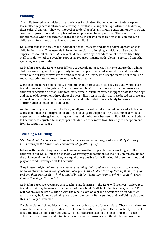## **Planning**

The EYFS team plan activities and experiences for children that enable them to develop and learn effectively across all areas of learning, as well as offering them opportunities to develop their cultural capital. They work together to develop a bright, inviting environment with strong continuous provision, and then plan enhanced provision to support this. There is no fixed timeframe for when enhancements are added to the provision as this often falls in line with children's interest and as such needs to remain fluid.

EYFS staff take into account the individual needs, interests and stage of development of each child in their care. They use this information to plan challenging, ambitious and enjoyable experiences for all children. Where a child may have a special educational need or disability, staff consider whether specialist support is required; liaising with relevant services from other agencies, as appropriate.

At St John Bosco the EYFS classes follow a 2-year planning cycle. This is to ensure that, whilst children are still given the opportunity to build on prior knowledge and skills, children who attend our Nursery for two years or move from our Nursery into Reception, will not merely be repeating activities and experiences they have already had.

Class teachers have responsibility for planning additional adult-led activities and whole-class teaching sessions. A long-term 'Curriculum Overview' and medium-term planner ensure that children experience a broad, balanced, structured curriculum, which is appropriate for their age and stage of development throughout the year. Short-term weekly plans are based on these and interests of the children. Plans are extended and differentiated accordingly to ensure appropriate challenge for all children.

As children progress through the EYFS, small group work, adult-directed tasks and whole class work is planned as appropriate for the age and stage of the pupils. By the summer term it is expected that the length of teaching sessions and the balance between child-initiated and adultled activities is adjusted to best prepare children as they move from Nursery to Reception and from Reception to Year 1.

## **Teaching & Learning**

*'Teacher should be understood to refer to any practitioner working with the child.' (Statutory Framework for the Early Years Foundation Stage 2021, p.11)*

In line with the Statutory Framework we recognise that all practitioners working with the children in our EYFS Unit are 'teachers'. Accordingly all members of the EYFS staff team, under the guidance of the class teacher, are equally responsible for facilitating children's learning and play and for delivering adult-led activities.

*'Play is essential for children's development, building their confidence as they learn to explore, relate to others, set their own goals and solve problems. Children learn by leading their own play, and by taking part in play which is guided by adults.' (Statutory Framework for the Early Years Foundation Stage 2021, p.16)*

At St John Bosco we recognise that teaching and learning in the EYFS will look very different to teaching that may be seen across the rest of the school. Staff, including teachers, in the EYFS will not always be seen working with the whole-class or a group of children on an adult-led task, but may be found co-playing in the environment skilfully guiding and scaffolding play and this is equally as valuable.

Carefully planned timetables and routines are set in advance for each class. These are written to allow children extended periods in self-chosen play where they have the opportunity to develop focus and master skills uninterrupted. Timetables are based on the needs and age of each cohort and are therefore adapted termly, or sooner if necessary. All timetables and routines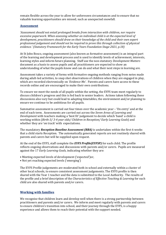remain flexible across the year to allow for unforeseen circumstances and to ensure that no valuable learning opportunities are missed; such as unexpected snowfall.

#### **Assessment**

*'Assessment should not entail prolonged breaks from interaction with children, nor require excessive paperwork. When assessing whether an individual child is at the expected level of development, practitioners should draw on their knowledge of the child and their own expert professional judgement and should not be required to prove this through collection of physical evidence.' (Statutory Framework for the Early Years Foundation Stage 2021, p.18)*

At St John Bosco, ongoing assessment (also known as formative assessment) is an integral part of the learning and development process and is used to identify levels of achievement, interests, learning styles and inform future planning. Staff use the non-statutory *Development Matters* document as a basis to assess pupils and all practitioners are expected to show an understanding of what the pupils know and can do and what their next steps in learning are.

Assessment takes a variety of forms with formative ongoing methods ranging from notes made during adult-led activities, to snap shot observations of children when they are engaged in play, which are recorded electronically on *'Evidence Me'*. Parents and carers have access to these records online and are encouraged to make their own contributions.

To ensure we meet the needs of all pupils within the setting, the EYFS team meet regularly to discuss children's progress and this is fed back to senior leaders. Actions taken following these discussions also vary but could lead to adapting timetables, the environment and/or planning to ensure we continue to be ambitious for all pupils.

Summative assessment is carried out four times over the academic year – 'On entry' and at the end of each term. Assessments are carried out across the *Seven Areas of Learning and Development* with teachers making a 'best fit' judgement to decide which 'band' a child is working within (*Birth-3/ 3-4 year olds/ Children in Reception/ Early Learning Goals*) and whether they are 'on track' with expectations.

The mandatory *Reception Baseline Assessment (RBA)* is undertaken within the first 6 weeks that a child starts Reception. The automatically generated reports are not routinely shared with parents and carers but will be supplied upon request.

At the end of the EYFS, staff complete the *EYFS Profile(EYFSP)* for each child. The profile reflects ongoing observations and discussions with parents and/or carers. Pupils are measured against the 17 *Early Learning Goals*, indicating whether they are:

- Meeting expected levels of development ('expected')or,
- Not yet reaching expected levels ('emerging')

The EYFS Profile judgements are moderated both in school and externally within a cluster of other local schools, to ensure consistent assessment judgements. The EYFS profile is then shared with the Year 1 teacher and the data is submitted to the Local Authority. The results of the profile and a brief description of the *Characteristics of Effective Teaching & Learning* for each child are also shared with parents and/or carers.

## **Working with families**

We recognise that children learn and develop well when there is a strong partnership between practitioners and parents and/or carers. We inform and meet regularly with parents and carers to ensure children's transition into school, and their journey through the EYFS, is a happy experience and allows them to reach their potential with the support needed.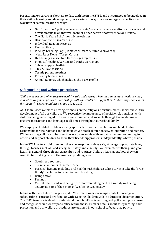Parents and/or carers are kept up to date with life in the EYFS, and encouraged to be involved in their child's learning and development, in a variety of ways. We encourage an effective twoway flow of communication through:

- Our "open door" policy, whereby parents/carers can come and discuss concerns and developments in an informal manner either before or after school or nursery.
- The 'Early Years Echo' monthly newsletter
- Observations on *Evidence Me*
- Individual Reading Records<br>• Family Library
- Family Library
- Weekly 'Learning Log' (Homework from Autumn 2 onwards)
- 'Next Steps News' (Target Cards)
- Half-termly 'Curriculum Knowledge Organisers'
- Phonics/ Reading/Writing and Maths workshops
- Subject support leaflets
- 'Stay & Play' sessions
- Termly parent meetings
- Pre-entry home visits
- Annual Reports, which includes the EYFS profile

## **Safeguarding and welfare procedures**

*'Children learn best when they are healthy, safe and secure, when their individual needs are met, and when they have positive relationships with the adults caring for them.' (Statutory Framework for the Early Years Foundation Stage 2021, p.21)*

At St John Bosco we place a strong emphasis on the religious, spiritual, moral, social and cultural development of all our children. We recognise the importance of positive relationships; with children being encouraged to become well-rounded and sociable through the modelling of positive interactions and language at all times throughout our school family.

We employ a child-led problem solving approach to conflict resolution and hold children responsible for their actions and behaviour. We teach about honesty, co-operation and respect. While teaching children to be assertive, we balance this with empathy and understanding for others and support children to solve their friendship problems independently, where possible.

In the EYFS we teach children how they can keep themselves safe, at an age appropriate level, through focuses such as road safety, sun safety and e-safety. We promote wellbeing, and good health in general, through our curriculum and routines. Children learn about how they can contribute to taking care of themselves by talking about:

- Good sleep routines
- 
- Sensible amounts of 'Screen Time'<br>• Personal hygiene including oral he • Personal hygiene including oral health; with children taking turns to take the 'Brush Buddy' bag home to promote teeth brushing.
- Being active<br>• Feelings
- Feelings<br>• Mental H
- Mental Health and Wellbeing; with children taking part in a weekly wellbeing activity as part of the school's 'Wellbeing Wednesday'

In line with the whole school policy, all EYFS practitioners have up to date knowledge of safeguarding issues and are familiar with 'Keeping Children Safe in Education' documentation. The EYFS team are trained to understand the school's safeguarding and policy and procedures and recognise their own responsibility within these. Further details about safeguarding, child protection and our welfare procedures are outlined in our school safeguarding policy.